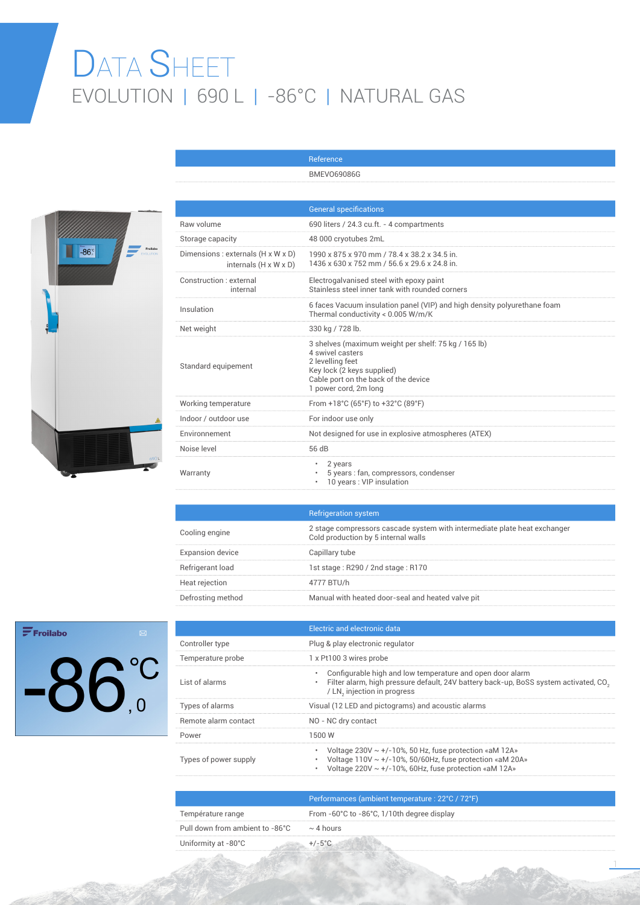## DATA SHEET EVOLUTION | 690 L | -86°C | NATURAL GAS

Reference BMEVO69086G



|                                                                         | <b>General specifications</b>                                                                                                                                                               |
|-------------------------------------------------------------------------|---------------------------------------------------------------------------------------------------------------------------------------------------------------------------------------------|
| Raw volume                                                              | 690 liters / 24.3 cu.ft. - 4 compartments                                                                                                                                                   |
| Storage capacity                                                        | 48 000 cryotubes 2mL                                                                                                                                                                        |
| Dimensions : externals (H x W x D)<br>internals $(H \times W \times D)$ | 1990 x 875 x 970 mm / 78.4 x 38.2 x 34.5 in.<br>1436 x 630 x 752 mm / 56.6 x 29.6 x 24.8 in.                                                                                                |
| Construction : external<br>internal                                     | Electrogalvanised steel with epoxy paint<br>Stainless steel inner tank with rounded corners                                                                                                 |
| Insulation                                                              | 6 faces Vacuum insulation panel (VIP) and high density polyurethane foam<br>Thermal conductivity < 0.005 W/m/K                                                                              |
| Net weight                                                              | 330 kg / 728 lb.                                                                                                                                                                            |
| Standard equipement                                                     | 3 shelves (maximum weight per shelf: 75 kg / 165 lb)<br>4 swivel casters<br>2 levelling feet<br>Key lock (2 keys supplied)<br>Cable port on the back of the device<br>1 power cord, 2m long |
| Working temperature                                                     | From +18°C (65°F) to +32°C (89°F)                                                                                                                                                           |
| Indoor / outdoor use                                                    | For indoor use only                                                                                                                                                                         |
| Environnement                                                           | Not designed for use in explosive atmospheres (ATEX)                                                                                                                                        |
| Noise level                                                             | 56 dB                                                                                                                                                                                       |
| Warranty                                                                | 2 years<br>5 years : fan, compressors, condenser<br>10 years : VIP insulation                                                                                                               |

|                         | <b>Refrigeration system</b>                                                                                      |
|-------------------------|------------------------------------------------------------------------------------------------------------------|
| Cooling engine          | 2 stage compressors cascade system with intermediate plate heat exchanger<br>Cold production by 5 internal walls |
| <b>Expansion device</b> | Capillary tube                                                                                                   |
| Refrigerant load        | 1st stage: R290 / 2nd stage: R170                                                                                |
| Heat rejection          | 4777 BTU/h                                                                                                       |
| Defrosting method       | Manual with heated door-seal and heated valve pit                                                                |

## $\mathbf{F}$ Froilabo  $-86^\circ$

|                       | Electric and electronic data                                                                                                                                                                                   |
|-----------------------|----------------------------------------------------------------------------------------------------------------------------------------------------------------------------------------------------------------|
| Controller type       | Plug & play electronic regulator                                                                                                                                                                               |
| Temperature probe     | 1 x Pt100 3 wires probe                                                                                                                                                                                        |
| List of alarms        | Configurable high and low temperature and open door alarm<br>۰<br>Filter alarm, high pressure default, 24V battery back-up, BoSS system activated, CO <sub>3</sub><br>$\bullet$<br>/ LN, injection in progress |
| Types of alarms       | Visual (12 LED and pictograms) and acoustic alarms                                                                                                                                                             |
| Remote alarm contact  | NO - NC dry contact                                                                                                                                                                                            |
| Power                 | 1500 W                                                                                                                                                                                                         |
| Types of power supply | Voltage $230V \sim +/-10\%$ , 50 Hz, fuse protection «aM 12A»<br>۰<br>Voltage $110V \sim +/-10\%$ , 50/60Hz, fuse protection «aM 20A»<br>Voltage 220V $\sim$ +/-10%, 60Hz, fuse protection «aM 12A»<br>۰       |
|                       | <u>Deufenne en een (enskiensscheiden en staat) en 000 (700F)</u>                                                                                                                                               |

|                                 | Performances (ambient temperature : 22°C / 72°F)               |
|---------------------------------|----------------------------------------------------------------|
| Température range               | From $-60^{\circ}$ C to $-86^{\circ}$ C, 1/10th degree display |
| Pull down from ambient to -86°C | $\sim$ 4 hours                                                 |
| Uniformity at -80°C             |                                                                |

1